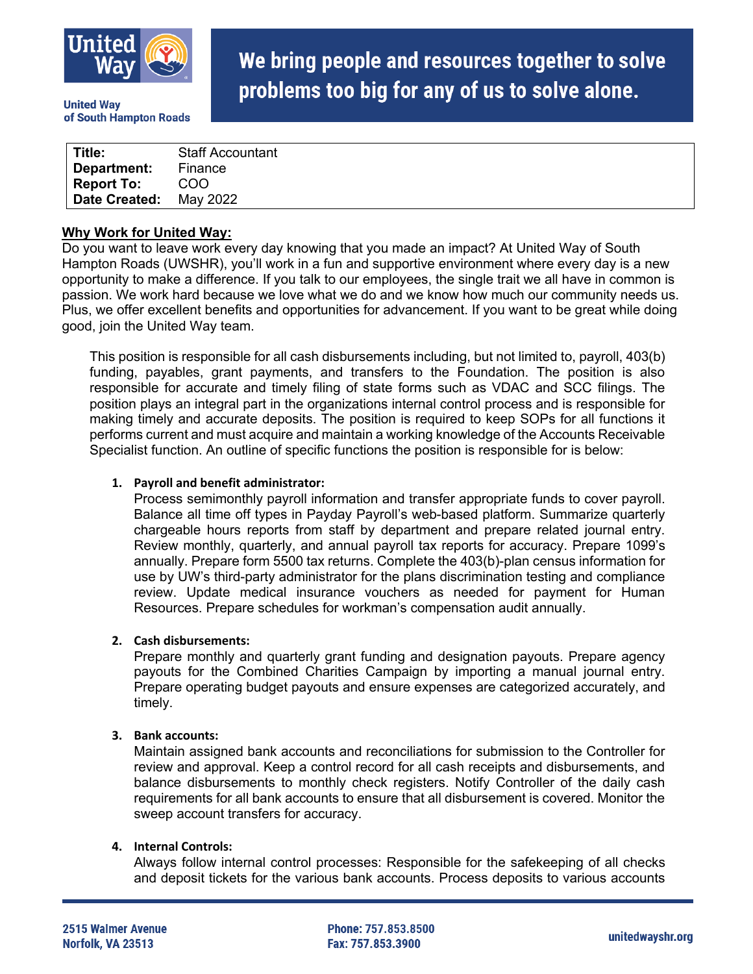

**United Wav** of South Hampton Roads

# We bring people and resources together to solve problems too big for any of us to solve alone.

| Title:            | <b>Staff Accountant</b> |
|-------------------|-------------------------|
| Department:       | Finance                 |
| <b>Report To:</b> | COO                     |
| Date Created:     | May 2022                |

### **Why Work for United Way:**

Do you want to leave work every day knowing that you made an impact? At United Way of South Hampton Roads (UWSHR), you'll work in a fun and supportive environment where every day is a new opportunity to make a difference. If you talk to our employees, the single trait we all have in common is passion. We work hard because we love what we do and we know how much our community needs us. Plus, we offer excellent benefits and opportunities for advancement. If you want to be great while doing good, join the United Way team.

This position is responsible for all cash disbursements including, but not limited to, payroll, 403(b) funding, payables, grant payments, and transfers to the Foundation. The position is also responsible for accurate and timely filing of state forms such as VDAC and SCC filings. The position plays an integral part in the organizations internal control process and is responsible for making timely and accurate deposits. The position is required to keep SOPs for all functions it performs current and must acquire and maintain a working knowledge of the Accounts Receivable Specialist function. An outline of specific functions the position is responsible for is below:

#### **1. Payroll and benefit administrator:**

Process semimonthly payroll information and transfer appropriate funds to cover payroll. Balance all time off types in Payday Payroll's web-based platform. Summarize quarterly chargeable hours reports from staff by department and prepare related journal entry. Review monthly, quarterly, and annual payroll tax reports for accuracy. Prepare 1099's annually. Prepare form 5500 tax returns. Complete the 403(b)-plan census information for use by UW's third-party administrator for the plans discrimination testing and compliance review. Update medical insurance vouchers as needed for payment for Human Resources. Prepare schedules for workman's compensation audit annually.

#### **2. Cash disbursements:**

Prepare monthly and quarterly grant funding and designation payouts. Prepare agency payouts for the Combined Charities Campaign by importing a manual journal entry. Prepare operating budget payouts and ensure expenses are categorized accurately, and timely.

#### **3. Bank accounts:**

Maintain assigned bank accounts and reconciliations for submission to the Controller for review and approval. Keep a control record for all cash receipts and disbursements, and balance disbursements to monthly check registers. Notify Controller of the daily cash requirements for all bank accounts to ensure that all disbursement is covered. Monitor the sweep account transfers for accuracy.

#### **4. Internal Controls:**

Always follow internal control processes: Responsible for the safekeeping of all checks and deposit tickets for the various bank accounts. Process deposits to various accounts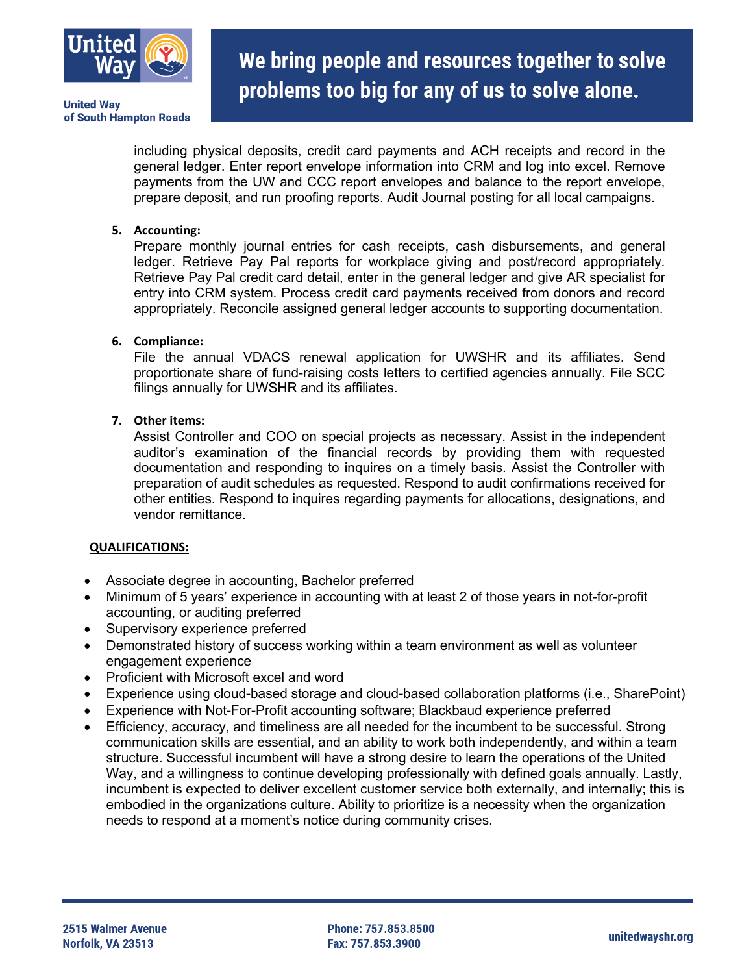

# We bring people and resources together to solve problems too big for any of us to solve alone.

including physical deposits, credit card payments and ACH receipts and record in the general ledger. Enter report envelope information into CRM and log into excel. Remove payments from the UW and CCC report envelopes and balance to the report envelope, prepare deposit, and run proofing reports. Audit Journal posting for all local campaigns.

## **5. Accounting:**

Prepare monthly journal entries for cash receipts, cash disbursements, and general ledger. Retrieve Pay Pal reports for workplace giving and post/record appropriately. Retrieve Pay Pal credit card detail, enter in the general ledger and give AR specialist for entry into CRM system. Process credit card payments received from donors and record appropriately. Reconcile assigned general ledger accounts to supporting documentation.

### **6. Compliance:**

File the annual VDACS renewal application for UWSHR and its affiliates. Send proportionate share of fund-raising costs letters to certified agencies annually. File SCC filings annually for UWSHR and its affiliates.

### **7. Other items:**

Assist Controller and COO on special projects as necessary. Assist in the independent auditor's examination of the financial records by providing them with requested documentation and responding to inquires on a timely basis. Assist the Controller with preparation of audit schedules as requested. Respond to audit confirmations received for other entities. Respond to inquires regarding payments for allocations, designations, and vendor remittance.

#### **QUALIFICATIONS:**

- Associate degree in accounting, Bachelor preferred
- Minimum of 5 years' experience in accounting with at least 2 of those years in not-for-profit accounting, or auditing preferred
- Supervisory experience preferred
- Demonstrated history of success working within a team environment as well as volunteer engagement experience
- Proficient with Microsoft excel and word
- Experience using cloud-based storage and cloud-based collaboration platforms (i.e., SharePoint)
- Experience with Not-For-Profit accounting software; Blackbaud experience preferred
- Efficiency, accuracy, and timeliness are all needed for the incumbent to be successful. Strong communication skills are essential, and an ability to work both independently, and within a team structure. Successful incumbent will have a strong desire to learn the operations of the United Way, and a willingness to continue developing professionally with defined goals annually. Lastly, incumbent is expected to deliver excellent customer service both externally, and internally; this is embodied in the organizations culture. Ability to prioritize is a necessity when the organization needs to respond at a moment's notice during community crises.